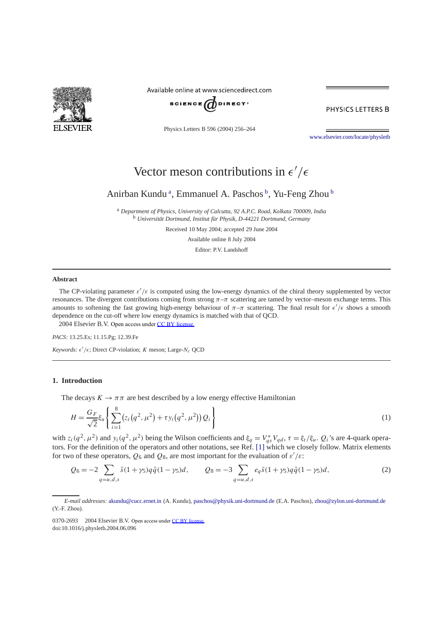

Available online at www.sciencedirect.com



PHYSICS LETTERS B

Physics Letters B 596 (2004) 256–264

[www.elsevier.com/locate/physletb](http://www.elsevier.com/locate/physletb)

# Vector meson contributions in  $\epsilon'/\epsilon$

Anirban Kundu<sup>a</sup>, Emmanuel A. Paschos<sup>b</sup>, Yu-Feng Zhou<sup>b</sup>

<sup>a</sup> *Department of Physics, University of Calcutta, 92 A.P.C. Road, Kolkata 700009, India* <sup>b</sup> *Universität Dortmund, Institut für Physik, D-44221 Dortmund, Germany*

Received 10 May 2004; accepted 29 June 2004

Available online 8 July 2004

Editor: P.V. Landshoff

# **Abstract**

The CP-violating parameter  $\varepsilon'/\varepsilon$  is computed using the low-energy dynamics of the chiral theory supplemented by vector resonances. The divergent contributions coming from strong  $\pi-\pi$  scattering are tamed by vector–meson exchange terms. This amounts to softening the fast growing high-energy behaviour of  $\pi-\pi$  scattering. The final result for  $\epsilon'/\epsilon$  shows a smooth dependence on the cut-off where low energy dynamics is matched with that of QCD.  $© 2004 Elsevier B.V. Open access under CC BY license.$  $© 2004 Elsevier B.V. Open access under CC BY license.$ 

*PACS:* 13.25.Es; 11.15.Pg; 12.39.Fe

*Keywords: /*; Direct CP-violation; *K* meson; Large-*Nc* QCD

# **1. Introduction**

The decays  $K \to \pi \pi$  are best described by a low energy effective Hamiltonian

$$
H = \frac{G_F}{\sqrt{2}} \xi_u \left\{ \sum_{i=1}^8 (z_i (q^2, \mu^2) + \tau y_i (q^2, \mu^2)) Q_i \right\}
$$
 (1)

with  $z_i(q^2, \mu^2)$  and  $y_i(q^2, \mu^2)$  being the Wilson coefficients and  $\xi_q = V_{qs}^* V_{qd}$ ,  $\tau = \xi_t/\xi_u$ .  $Q_i$ 's are 4-quark operators. For the definition of the operators and other notations, see Ref. [\[1\]](#page-8-0) which we closely follow. Matrix elements for two of these operators,  $Q_6$  and  $Q_8$ , are most important for the evaluation of  $\varepsilon'/\varepsilon$ :

$$
Q_6 = -2 \sum_{q=u,d,s} \bar{s}(1+\gamma_5)q\bar{q}(1-\gamma_5)d, \qquad Q_8 = -3 \sum_{q=u,d,s} e_q\bar{s}(1+\gamma_5)q\bar{q}(1-\gamma_5)d, \tag{2}
$$

*E-mail addresses:* [akundu@cucc.ernet.in](mailto:akundu@cucc.ernet.in) (A. Kundu), [paschos@physik.uni-dortmund.de](mailto:paschos@physik.uni-dortmund.de) (E.A. Paschos), [zhou@zylon.uni-dortmund.de](mailto:zhou@zylon.uni-dortmund.de) (Y.-F. Zhou).

<sup>0370-2693 © 2004</sup> Elsevier B.V. Open access under [CC BY license.](http://creativecommons.org/licenses/by/3.0/) doi:10.1016/j.physletb.2004.06.096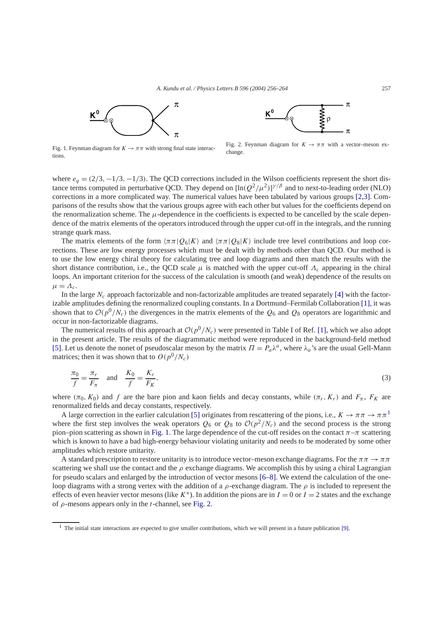

Fig. 1. Feynman diagram for  $K \to \pi \pi$  with strong final state interac-

tions.



Fig. 2. Feynman diagram for  $K \to \pi \pi$  with a vector–meson exchange.

where  $e_q = (2/3, -1/3, -1/3)$ . The QCD corrections included in the Wilson coefficients represent the short distance terms computed in perturbative QCD. They depend on  $[\ln(Q^2/\mu^2)]^{\gamma/\beta}$  and to next-to-leading order (NLO) corrections in a more complicated way. The numerical values have been tabulated by various groups [\[2,3\].](#page-8-0) Comparisons of the results show that the various groups agree with each other but values for the coefficients depend on the renormalization scheme. The  $\mu$ -dependence in the coefficients is expected to be cancelled by the scale dependence of the matrix elements of the operators introduced through the upper cut-off in the integrals, and the running strange quark mass.

The matrix elements of the form  $\langle \pi \pi | Q_6|K \rangle$  and  $\langle \pi \pi | Q_8|K \rangle$  include tree level contributions and loop corrections. These are low energy processes which must be dealt with by methods other than QCD. Our method is to use the low energy chiral theory for calculating tree and loop diagrams and then match the results with the short distance contribution, i.e., the QCD scale  $\mu$  is matched with the upper cut-off  $\Lambda_c$  appearing in the chiral loops. An important criterion for the success of the calculation is smooth (and weak) dependence of the results on  $\mu = \Lambda_c$ .

In the large *Nc* approach factorizable and non-factorizable amplitudes are treated separately [\[4\]](#page-8-0) with the factorizable amplitudes defining the renormalized coupling constants. In a Dortmund–Fermilab Collaboration [\[1\],](#page-8-0) it was shown that to  $O(p^0/N_c)$  the divergences in the matrix elements of the  $Q_6$  and  $Q_8$  operators are logarithmic and occur in non-factorizable diagrams.

The numerical results of this approach at  $O(p^0/N_c)$  were presented in Table I of Ref. [\[1\],](#page-8-0) which we also adopt in the present article. The results of the diagrammatic method were reproduced in the background-field method [\[5\].](#page-8-0) Let us denote the nonet of pseudoscalar meson by the matrix  $\Pi = P_a \lambda^a$ , where  $\lambda_a$ 's are the usual Gell-Mann matrices; then it was shown that to  $O(p^0/N_c)$ 

$$
\frac{\pi_0}{f} = \frac{\pi_r}{F_\pi} \quad \text{and} \quad \frac{K_0}{f} = \frac{K_r}{F_K},\tag{3}
$$

where  $(\pi_0, K_0)$  and f are the bare pion and kaon fields and decay constants, while  $(\pi_r, K_r)$  and  $F_\pi$ ,  $F_K$  are renormalized fields and decay constants, respectively.

A large correction in the earlier calculation [\[5\]](#page-8-0) originates from rescattering of the pions, i.e.,  $K \to \pi \pi \to \pi \pi^1$ where the first step involves the weak operators  $Q_6$  or  $Q_8$  to  $O(p^2/N_c)$  and the second process is the strong pion–pion scattering as shown in Fig. 1. The large dependence of the cut-off resides on the contact  $\pi-\pi$  scattering which is known to have a bad high-energy behaviour violating unitarity and needs to be moderated by some other amplitudes which restore unitarity.

A standard prescription to restore unitarity is to introduce vector–meson exchange diagrams. For the  $\pi\pi \to \pi\pi$ scattering we shall use the contact and the  $\rho$  exchange diagrams. We accomplish this by using a chiral Lagrangian for pseudo scalars and enlarged by the introduction of vector mesons [\[6–8\].](#page-8-0) We extend the calculation of the oneloop diagrams with a strong vertex with the addition of a *ρ*-exchange diagram. The *ρ* is included to represent the effects of even heavier vector mesons (like  $K^*$ ). In addition the pions are in  $I = 0$  or  $I = 2$  states and the exchange of *ρ*-mesons appears only in the *t*-channel, see Fig. 2.

 $<sup>1</sup>$  The initial state interactions are expected to give smaller contributions, which we will present in a future publication [\[9\].](#page-8-0)</sup>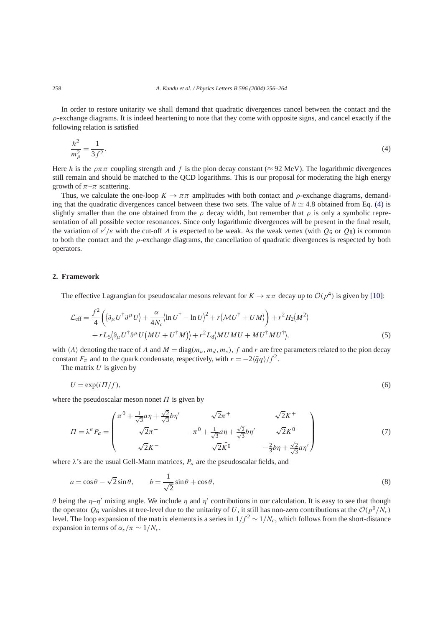<span id="page-2-0"></span>In order to restore unitarity we shall demand that quadratic divergences cancel between the contact and the *ρ*-exchange diagrams. It is indeed heartening to note that they come with opposite signs, and cancel exactly if the following relation is satisfied

$$
\frac{h^2}{m_\rho^2} = \frac{1}{3f^2}.\tag{4}
$$

Here *h* is the  $\rho \pi \pi$  coupling strength and *f* is the pion decay constant ( $\approx$  92 MeV). The logarithmic divergences still remain and should be matched to the QCD logarithms. This is our proposal for moderating the high energy growth of  $\pi-\pi$  scattering.

Thus, we calculate the one-loop  $K \to \pi \pi$  amplitudes with both contact and  $\rho$ -exchange diagrams, demanding that the quadratic divergences cancel between these two sets. The value of  $h \approx 4.8$  obtained from Eq. (4) is slightly smaller than the one obtained from the  $\rho$  decay width, but remember that  $\rho$  is only a symbolic representation of all possible vector resonances. Since only logarithmic divergences will be present in the final result, the variation of  $\varepsilon'/\varepsilon$  with the cut-off *Λ* is expected to be weak. As the weak vertex (with  $Q_6$  or  $Q_8$ ) is common to both the contact and the *ρ*-exchange diagrams, the cancellation of quadratic divergences is respected by both operators.

# **2. Framework**

The effective Lagrangian for pseudoscalar mesons relevant for  $K \to \pi \pi$  decay up to  $\mathcal{O}(p^4)$  is given by [\[10\]:](#page-8-0)

$$
\mathcal{L}_{\text{eff}} = \frac{f^2}{4} \left( \langle \partial_{\mu} U^{\dagger} \partial^{\mu} U \rangle + \frac{\alpha}{4N_c} \langle \ln U^{\dagger} - \ln U \rangle^2 + r \langle \mathcal{M} U^{\dagger} + U M \rangle \right) + r^2 H_2 \langle M^2 \rangle + r L_5 \langle \partial_{\mu} U^{\dagger} \partial^{\mu} U \big( M U + U^{\dagger} M \big) \rangle + r^2 L_8 \langle M U M U + M U^{\dagger} M U^{\dagger} \rangle,
$$
\n(5)

with  $\langle A \rangle$  denoting the trace of A and  $M = \text{diag}(m_u, m_d, m_s)$ , f and r are free parameters related to the pion decay constant *F<sub>π</sub>* and to the quark condensate, respectively, with  $r = -2\langle \bar{q}q \rangle / f^2$ .

The matrix *U* is given by

 $U = \exp(i \pi / f),$  (6)

where the pseudoscalar meson nonet *Π* is given by

$$
\Pi = \lambda^{a} P_{a} = \begin{pmatrix} \pi^{0} + \frac{1}{\sqrt{3}} a \eta + \frac{\sqrt{2}}{\sqrt{3}} b \eta' & \sqrt{2} \pi^{+} & \sqrt{2} K^{+} \\ \sqrt{2} \pi^{-} & -\pi^{0} + \frac{1}{\sqrt{3}} a \eta + \frac{\sqrt{2}}{\sqrt{3}} b \eta' & \sqrt{2} K^{0} \\ \sqrt{2} K^{-} & \sqrt{2} \bar{K^{0}} & -\frac{2}{3} b \eta + \frac{\sqrt{2}}{\sqrt{3}} a \eta' \end{pmatrix}
$$
(7)

where  $\lambda$ 's are the usual Gell-Mann matrices,  $P_a$  are the pseudoscalar fields, and

$$
a = \cos\theta - \sqrt{2}\sin\theta, \qquad b = \frac{1}{\sqrt{2}}\sin\theta + \cos\theta,\tag{8}
$$

*θ* being the  $\eta$ –*η*' mixing angle. We include  $\eta$  and  $\eta'$  contributions in our calculation. It is easy to see that though the operator  $Q_6$  vanishes at tree-level due to the unitarity of *U*, it still has non-zero contributions at the  $\mathcal{O}(p^0/N_c)$ level. The loop expansion of the matrix elements is a series in  $1/f^2 \sim 1/N_c$ , which follows from the short-distance expansion in terms of  $\alpha_s/\pi \sim 1/N_c$ .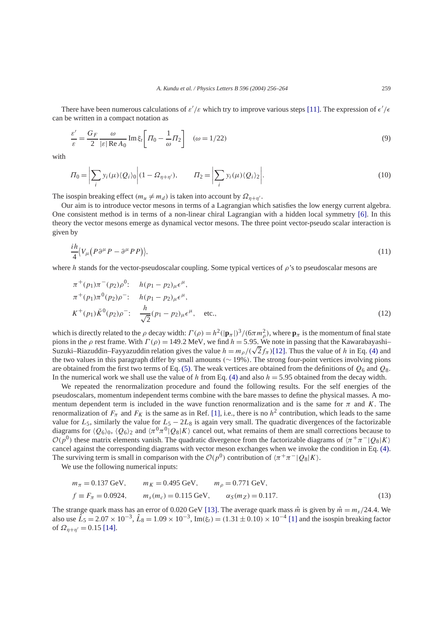$$
\frac{\varepsilon'}{\varepsilon} = \frac{G_F}{2} \frac{\omega}{|\varepsilon| \operatorname{Re} A_0} \operatorname{Im} \xi_t \left[ \Pi_0 - \frac{1}{\omega} \Pi_2 \right] \quad (\omega = 1/22)
$$
\n(9)

with

$$
\Pi_0 = \left| \sum_i y_i(\mu) \langle Q_i \rangle_0 \right| (1 - \Omega_{\eta + \eta'}), \qquad \Pi_2 = \left| \sum_i y_i(\mu) \langle Q_i \rangle_2 \right|.
$$
\n(10)

The isospin breaking effect  $(m_u \neq m_d)$  is taken into account by  $\Omega_{\eta+\eta'}$ .

Our aim is to introduce vector mesons in terms of a Lagrangian which satisfies the low energy current algebra. One consistent method is in terms of a non-linear chiral Lagrangian with a hidden local symmetry [\[6\].](#page-8-0) In this theory the vector mesons emerge as dynamical vector mesons. The three point vector-pseudo scalar interaction is given by

$$
\frac{i h}{4} \langle V_{\mu} \left( P \partial^{\mu} P - \partial^{\mu} P P \right) \rangle, \tag{11}
$$

where *h* stands for the vector-pseudoscalar coupling. Some typical vertices of *ρ*'s to pseudoscalar mesons are

$$
\pi^{+}(p_{1})\pi^{-}(p_{2})\rho^{0}: \quad h(p_{1}-p_{2})_{\mu}\epsilon^{\mu}, \n\pi^{+}(p_{1})\pi^{0}(p_{2})\rho^{-}: \quad h(p_{1}-p_{2})_{\mu}\epsilon^{\mu}, \nK^{+}(p_{1})\bar{K}^{0}(p_{2})\rho^{-}: \quad \frac{h}{\sqrt{2}}(p_{1}-p_{2})_{\mu}\epsilon^{\mu}, \quad \text{etc.},
$$
\n(12)

which is directly related to the  $\rho$  decay width:  $\Gamma(\rho) = h^2(|\mathbf{p}_\pi|)^3/(6\pi m_\rho^2)$ , where  $\mathbf{p}_\pi$  is the momentum of final state pions in the  $\rho$  rest frame. With  $\Gamma(\rho) = 149.2$  MeV, we find  $h = 5.95$ . We note in passing that the Kawarabayashi– pions in the  $\rho$  rest frame. With  $I'(\rho) = 149.2$  MeV, we find  $h = 5.95$ . We note in passing that the Kawarabayashi-<br>Suzuki–Riazuddin–Fayyazuddin relation gives the value  $h = m_\rho/(\sqrt{2}f_\pi)[12]$ . Thus the value of *h* in Eq. the two values in this paragraph differ by small amounts *(*∼ 19%*)*. The strong four-point vertices involving pions are obtained from the first two terms of Eq. [\(5\).](#page-2-0) The weak vertices are obtained from the definitions of *Q*<sup>6</sup> and *Q*8. In the numerical work we shall use the value of *h* from Eq. [\(4\)](#page-2-0) and also *h* = 5*.*95 obtained from the decay width.

We repeated the renormalization procedure and found the following results. For the self energies of the pseudoscalars, momentum independent terms combine with the bare masses to define the physical masses. A momentum dependent term is included in the wave function renormalization and is the same for  $\pi$  and K. The renormalization of  $F_\pi$  and  $F_K$  is the same as in Ref. [\[1\],](#page-8-0) i.e., there is no  $h^2$  contribution, which leads to the same value for  $L_5$ , similarly the value for  $L_5 - 2L_8$  is again very small. The quadratic divergences of the factorizable diagrams for  $\langle Q_6\rangle_0$ ,  $\langle Q_6\rangle_2$  and  $\langle \pi^0\pi^0|Q_8|K\rangle$  cancel out, what remains of them are small corrections because to  $\mathcal{O}(p^0)$  these matrix elements vanish. The quadratic divergence from the factorizable diagrams of  $\pi^+\pi^-|Q_8|K$ cancel against the corresponding diagrams with vector meson exchanges when we invoke the condition in Eq. [\(4\).](#page-2-0) The surviving term is small in comparison with the  $O(p^0)$  contribution of  $\langle \pi^+\pi^-|Q_8|K \rangle$ .

We use the following numerical inputs:

$$
m_{\pi} = 0.137 \text{ GeV}, \qquad m_K = 0.495 \text{ GeV}, \qquad m_{\rho} = 0.771 \text{ GeV},
$$
  

$$
f \equiv F_{\pi} = 0.0924, \qquad m_s(m_c) = 0.115 \text{ GeV}, \qquad \alpha_S(m_Z) = 0.117.
$$
 (13)

The strange quark mass has an error of 0.020 GeV [\[13\].](#page-8-0) The average quark mass  $\hat{m}$  is given by  $\hat{m} = m_s/24.4$ . We also use  $\hat{L}_5 = 2.07 \times 10^{-3}$ ,  $\hat{L}_8 = 1.09 \times 10^{-3}$ , Im( $\xi_t$ ) =  $(1.31 \pm 0.10) \times 10^{-4}$  [\[1\]](#page-8-0) and the isospin breaking factor of  $\Omega_{\eta+\eta'} = 0.15$  [\[14\].](#page-8-0)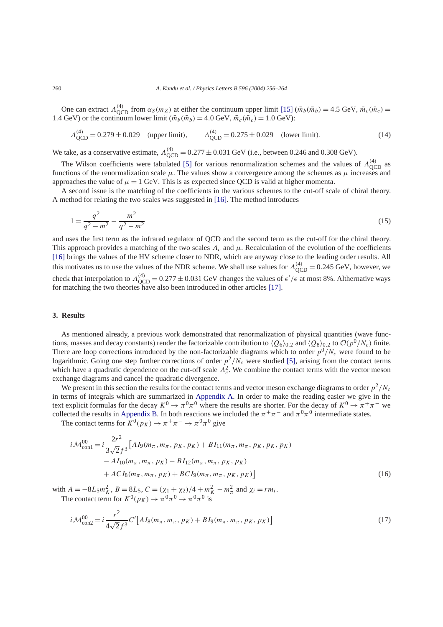One can extract  $Λ_{QCD}^{(4)}$  from  $α_S(m_Z)$  at either the continuum upper limit [\[15\]](#page-8-0) ( $\bar{m}_b(\bar{m}_b) = 4.5$  GeV,  $\bar{m}_c(\bar{m}_c) =$ 1.4 GeV) or the continuum lower limit  $(\bar{m}_b(\bar{m}_b) = 4.0 \text{ GeV}, \bar{m}_c(\bar{m}_c) = 1.0 \text{ GeV})$ :

$$
\Lambda_{\text{QCD}}^{(4)} = 0.279 \pm 0.029 \quad \text{(upper limit)}, \qquad \Lambda_{\text{QCD}}^{(4)} = 0.275 \pm 0.029 \quad \text{(lower limit)}.
$$

We take, as a conservative estimate,  $A_{\text{QCD}}^{(4)} = 0.277 \pm 0.031 \text{ GeV}$  (i.e., between 0.246 and 0.308 GeV).

The Wilson coefficients were tabulated [\[5\]](#page-8-0) for various renormalization schemes and the values of  $\Lambda_{\text{QCD}}^{(4)}$  as functions of the renormalization scale  $\mu$ . The values show a convergence among the schemes as  $\mu$  increases and approaches the value of  $\mu = 1$  GeV. This is as expected since QCD is valid at higher momenta.

A second issue is the matching of the coefficients in the various schemes to the cut-off scale of chiral theory. A method for relating the two scales was suggested in [\[16\].](#page-8-0) The method introduces

$$
1 = \frac{q^2}{q^2 - m^2} - \frac{m^2}{q^2 - m^2}
$$
 (15)

and uses the first term as the infrared regulator of QCD and the second term as the cut-off for the chiral theory. This approach provides a matching of the two scales *Λc* and *µ*. Recalculation of the evolution of the coefficients [\[16\]](#page-8-0) brings the values of the HV scheme closer to NDR, which are anyway close to the leading order results. All this motivates us to use the values of the NDR scheme. We shall use values for  $\Lambda_{\text{QCD}}^{(4)} = 0.245 \text{ GeV}$ , however, we check that interpolation to  $\Lambda_{\text{QCD}}^{(4)} = 0.277 \pm 0.031$  GeV changes the values of  $\epsilon'/\epsilon$  at most 8%. Althernative ways for matching the two theories have also been introduced in other articles [\[17\].](#page-8-0)

#### **3. Results**

As mentioned already, a previous work demonstrated that renormalization of physical quantities (wave functions, masses and decay constants) render the factorizable contribution to  $\langle Q_6 \rangle_{0,2}$  and  $\langle Q_8 \rangle_{0,2}$  to  $\mathcal{O}(p^0/N_c)$  finite. There are loop corrections introduced by the non-factorizable diagrams which to order  $p^0/N_c$  were found to be logarithmic. Going one step further corrections of order  $p^2/N_c$  were studied [\[5\],](#page-8-0) arising from the contact terms which have a quadratic dependence on the cut-off scale  $\Lambda_c^2$ . We combine the contact terms with the vector meson exchange diagrams and cancel the quadratic divergence.

We present in this section the results for the contact terms and vector meson exchange diagrams to order  $p^2/N_c$ in terms of integrals which are summarized in [Appendix A.](#page-6-0) In order to make the reading easier we give in the text explicit formulas for the decay  $K^0 \to \pi^0 \pi^0$  where the results are shorter. For the decay of  $K^0 \to \pi^+ \pi^-$  we collected the results in [Appendix B.](#page-7-0) In both reactions we included the  $\pi^+\pi^-$  and  $\pi^0\pi^0$  intermediate states.

The contact terms for  $K^0(p_K) \to \pi^+\pi^- \to \pi^0\pi^0$  give

$$
i\mathcal{M}_{\text{conl}}^{00} = i \frac{2r^2}{3\sqrt{2}f^3} \Big[ A I_9(m_\pi, m_\pi, p_K, p_K) + B I_{11}(m_\pi, m_\pi, p_K, p_K, p_K) - A I_{10}(m_\pi, m_\pi, p_K) - B I_{12}(m_\pi, m_\pi, p_K, p_K) + A C I_8(m_\pi, m_\pi, p_K) + B C I_9(m_\pi, m_\pi, p_K, p_K) \Big]
$$
(16)

with  $A = -8L_5 m_K^2$ ,  $B = 8L_5$ ,  $C = (\chi_1 + \chi_2)/4 + m_K^2 - m_\pi^2$  and  $\chi_i = rm_i$ . The contact term for  $K^0(p_K) \to \pi^0 \pi^0 \to \pi^0 \pi^0$  is

$$
i\mathcal{M}_{\text{con2}}^{00} = i\frac{r^2}{4\sqrt{2}f^3}C'\left[AI_8(m_\pi, m_\pi, p_K) + B I_9(m_\pi, m_\pi, p_K, p_K)\right]
$$
(17)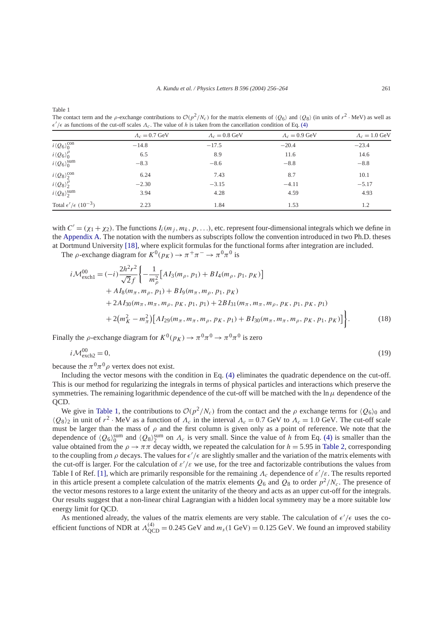Table 1 The contact term and the *ρ*-exchange contributions to  $\mathcal{O}(p^2/N_c)$  for the matrix elements of  $\langle Q_6 \rangle$  and  $\langle Q_8 \rangle$  (in units of  $r^2$ ·MeV) as well as  $\epsilon'/\epsilon$  as functions of the cut-off scales  $\Lambda_c$ . The value of *h* is taken from the cancellation condition of Eq. [\(4\)](#page-2-0)

|                                                | $A_c = 0.7$ GeV | $A_c = 0.8$ GeV | $A_c = 0.9$ GeV | $A_c = 1.0$ GeV |
|------------------------------------------------|-----------------|-----------------|-----------------|-----------------|
| $i \langle Q_6 \rangle_0^{\text{con}}$         | $-14.8$         | $-17.5$         | $-20.4$         | $-23.4$         |
| $i\langle Q_6\rangle_0^{\rho}$                 | 6.5             | 8.9             | 11.6            | 14.6            |
| $i \langle Q_6 \rangle_0^{\text{sum}}$         | $-8.3$          | $-8.6$          | $-8.8$          | $-8.8$          |
| $i \langle Q_8 \rangle_2^{\text{con}}$         | 6.24            | 7.43            | 8.7             | 10.1            |
| $i\langle Q_8\rangle_2^{\rho}$                 | $-2.30$         | $-3.15$         | $-4.11$         | $-5.17$         |
| $i \langle Q_8 \rangle_2^{\text{sum}}$         | 3.94            | 4.28            | 4.59            | 4.93            |
| Total $\epsilon'/\epsilon$ (10 <sup>-3</sup> ) | 2.23            | 1.84            | 1.53            | 1.2             |

with  $C' = (\chi_1 + \chi_2)$ . The functions  $I_i(m_j, m_k, p, \ldots)$ , etc. represent four-dimensional integrals which we define in the [Appendix A.](#page-6-0) The notation with the numbers as subscripts follow the convention introduced in two Ph.D. theses at Dortmund University [\[18\],](#page-8-0) where explicit formulas for the functional forms after integration are included.

The *ρ*-exchange diagram for  $K^0(p_K) \to \pi^+\pi^- \to \pi^0\pi^0$  is

$$
i\mathcal{M}_{\text{exch1}}^{00} = (-i)\frac{2h^2r^2}{\sqrt{2}f} \Biggl\{ -\frac{1}{m_\rho^2} \Bigl[ A I_3(m_\rho, p_1) + B I_4(m_\rho, p_1, p_K) \Bigr] + A I_8(m_\pi, m_\rho, p_1) + B I_9(m_\pi, m_\rho, p_1, p_K) + 2A I_{30}(m_\pi, m_\pi, m_\rho, p_K, p_1, p_1) + 2B I_{31}(m_\pi, m_\pi, m_\rho, p_K, p_1, p_K, p_1) + 2\Bigl(m_K^2 - m_\pi^2 \Bigr) \Bigl[ A I_{29}(m_\pi, m_\pi, m_\rho, p_K, p_1) + B I_{30}(m_\pi, m_\pi, m_\rho, p_K, p_1, p_K) \Bigr] \Biggr\}.
$$
 (18)

Finally the *ρ*-exchange diagram for  $K^0(p_K) \to \pi^0 \pi^0 \to \pi^0 \pi^0$  is zero

$$
i\mathcal{M}_{\text{exch2}}^{00} = 0,\tag{19}
$$

because the  $\pi^{0}\pi^{0}\rho$  vertex does not exist.

Including the vector mesons with the condition in Eq. [\(4\)](#page-2-0) eliminates the quadratic dependence on the cut-off. This is our method for regularizing the integrals in terms of physical particles and interactions which preserve the symmetries. The remaining logarithmic dependence of the cut-off will be matched with the  $\ln \mu$  dependence of the OCD.

We give in Table 1, the contributions to  $O(p^2/N_c)$  from the contact and the *ρ* exchange terms for  $\langle Q_6 \rangle_0$  and  $\langle Q_8 \rangle_2$  in unit of  $r^2$  · MeV as a function of  $\Lambda_c$  in the interval  $\Lambda_c = 0.7$  GeV to  $\Lambda_c = 1.0$  GeV. The cut-off scale must be larger than the mass of  $\rho$  and the first column is given only as a point of reference. We note that the dependence of  $\langle Q_6 \rangle_0^{\text{sum}}$  and  $\langle Q_8 \rangle_2^{\text{sum}}$  on  $\Lambda_c$  is very small. Since the value of *h* from Eq. [\(4\)](#page-2-0) is smaller than the value obtained from the  $\rho \to \pi \pi$  decay width, we repeated the calculation for  $h = 5.95$  in [Table 2,](#page-6-0) corresponding to the coupling from  $\rho$  decays. The values for  $\epsilon'/\epsilon$  are slightly smaller and the variation of the matrix elements with the cut-off is larger. For the calculation of  $\varepsilon'/\varepsilon$  we use, for the tree and factorizable contributions the values from Table I of Ref. [\[1\],](#page-8-0) which are primarily responsible for the remaining *Λc* dependence of *ε /ε*. The results reported in this article present a complete calculation of the matrix elements  $Q_6$  and  $Q_8$  to order  $p^2/N_c$ . The presence of the vector mesons restores to a large extent the unitarity of the theory and acts as an upper cut-off for the integrals. Our results suggest that a non-linear chiral Lagrangian with a hidden local symmetry may be a more suitable low energy limit for QCD.

As mentioned already, the values of the matrix elements are very stable. The calculation of  $\epsilon'/\epsilon$  uses the coefficient functions of NDR at  $\Lambda_{QCD}^{(4)} = 0.245$  GeV and  $m_s(1 \text{ GeV}) = 0.125$  GeV. We found an improved stability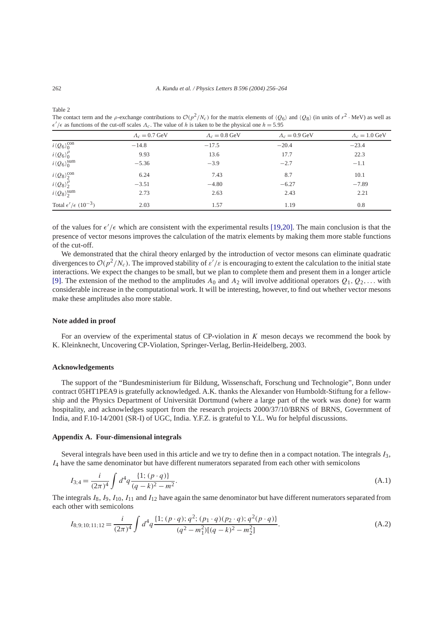<span id="page-6-0"></span>Table 2 The contact term and the *ρ*-exchange contributions to  $\mathcal{O}(p^2/N_c)$  for the matrix elements of  $\langle Q_6 \rangle$  and  $\langle Q_8 \rangle$  (in units of  $r^2$ ·MeV) as well as  $\epsilon'/\epsilon$  as functions of the cut-off scales *Λ<sub>c</sub>*. The value of *h* is taken to be the physical one *h* = 5.95

|                                                | $A_c = 0.7$ GeV | $A_c = 0.8$ GeV | $A_c = 0.9$ GeV | $\Lambda_c = 1.0$ GeV |
|------------------------------------------------|-----------------|-----------------|-----------------|-----------------------|
| $i \langle Q_6 \rangle_0^{\text{con}}$         | $-14.8$         | $-17.5$         | $-20.4$         | $-23.4$               |
| $i\langle Q_6\rangle_0^{\rho}$                 | 9.93            | 13.6            | 17.7            | 22.3                  |
| $i \langle Q_6 \rangle_0^{\text{sum}}$         | $-5.36$         | $-3.9$          | $-2.7$          | $-1.1$                |
| $i\langle Q_8\rangle_{2}^{\rm con}$            | 6.24            | 7.43            | 8.7             | 10.1                  |
| $i\langle Q_8\rangle_2^{\rho}$                 | $-3.51$         | $-4.80$         | $-6.27$         | $-7.89$               |
| $i \langle Q_8 \rangle_2^{\text{sum}}$         | 2.73            | 2.63            | 2.43            | 2.21                  |
| Total $\epsilon'/\epsilon$ (10 <sup>-3</sup> ) | 2.03            | 1.57            | 1.19            | 0.8                   |

of the values for  $\epsilon'/\epsilon$  which are consistent with the experimental results [\[19,20\].](#page-8-0) The main conclusion is that the presence of vector mesons improves the calculation of the matrix elements by making them more stable functions of the cut-off.

We demonstrated that the chiral theory enlarged by the introduction of vector mesons can eliminate quadratic divergences to  $O(p^2/N_c)$ . The improved stability of  $\varepsilon'/\varepsilon$  is encouraging to extent the calculation to the initial state interactions. We expect the changes to be small, but we plan to complete them and present them in a longer article [\[9\].](#page-8-0) The extension of the method to the amplitudes  $A_0$  and  $A_2$  will involve additional operators  $Q_1, Q_2, \ldots$  with considerable increase in the computational work. It will be interesting, however, to find out whether vector mesons make these amplitudes also more stable.

#### **Note added in proof**

For an overview of the experimental status of CP-violation in *K* meson decays we recommend the book by K. Kleinknecht, Uncovering CP-Violation, Springer-Verlag, Berlin-Heidelberg, 2003.

# **Acknowledgements**

The support of the "Bundesministerium für Bildung, Wissenschaft, Forschung und Technologie", Bonn under contract 05HT1PEA9 is gratefully acknowledged. A.K. thanks the Alexander von Humboldt-Stiftung for a fellowship and the Physics Department of Universität Dortmund (where a large part of the work was done) for warm hospitality, and acknowledges support from the research projects 2000/37/10/BRNS of BRNS, Government of India, and F.10-14/2001 (SR-I) of UGC, India. Y.F.Z. is grateful to Y.L. Wu for helpful discussions.

# **Appendix A. Four-dimensional integrals**

Several integrals have been used in this article and we try to define then in a compact notation. The integrals *I*3, *I*<sup>4</sup> have the same denominator but have different numerators separated from each other with semicolons

$$
I_{3;4} = \frac{i}{(2\pi)^4} \int d^4q \frac{\{1; (p \cdot q)\}}{(q-k)^2 - m^2}.
$$
\n(A.1)

The integrals *I*8, *I*9, *I*10, *I*<sup>11</sup> and *I*<sup>12</sup> have again the same denominator but have different numerators separated from each other with semicolons

$$
I_{8;9;10;11;12} = \frac{i}{(2\pi)^4} \int d^4q \frac{\{1; (p \cdot q); q^2; (p_1 \cdot q)(p_2 \cdot q); q^2(p \cdot q)\}}{(q^2 - m_1^2)[(q - k)^2 - m_2^2]}.
$$
(A.2)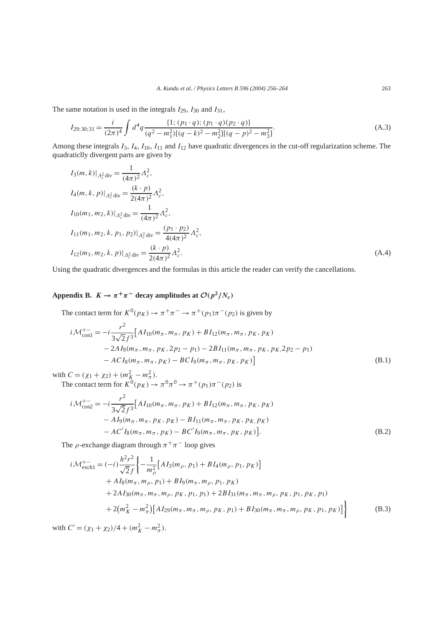<span id="page-7-0"></span>The same notation is used in the integrals  $I_{29}$ ,  $I_{30}$  and  $I_{31}$ ,

$$
I_{29;30;31} = \frac{i}{(2\pi)^4} \int d^4q \frac{\{1; (p_1 \cdot q); (p_1 \cdot q)(p_2 \cdot q)\}}{(q^2 - m_1^2)[(q - k)^2 - m_2^2][(q - p)^2 - m_3^2]}.
$$
(A.3)

Among these integrals *I*3, *I*4, *I*10, *I*<sup>11</sup> and *I*<sup>12</sup> have quadratic divergences in the cut-off regularization scheme. The quadraticlly divergent parts are given by

$$
I_3(m, k)|_{A_c^2 \text{ div}} = \frac{1}{(4\pi)^2} \Lambda_c^2,
$$
  
\n
$$
I_4(m, k, p)|_{A_c^2 \text{ div}} = \frac{(k \cdot p)}{2(4\pi)^2} \Lambda_c^2,
$$
  
\n
$$
I_{10}(m_1, m_2, k)|_{A_c^2 \text{ div}} = \frac{1}{(4\pi)^2} \Lambda_c^2,
$$
  
\n
$$
I_{11}(m_1, m_2, k, p_1, p_2)|_{A_c^2 \text{ div}} = \frac{(p_1 \cdot p_2)}{4(4\pi)^2} \Lambda_c^2,
$$
  
\n
$$
I_{12}(m_1, m_2, k, p)|_{A_c^2 \text{ div}} = \frac{(k \cdot p)}{2(4\pi)^2} \Lambda_c^2.
$$
\n(A.4)

Using the quadratic divergences and the formulas in this article the reader can verify the cancellations.

# **Appendix B.**  $K \to \pi^+\pi^-$  **decay amplitudes at**  $O(p^2/N_c)$

The contact term for  $K^0(p_K) \to \pi^+\pi^- \to \pi^+(p_1)\pi^-(p_2)$  is given by

$$
i\mathcal{M}_{\text{conl}}^{+-} = -i\frac{r^2}{3\sqrt{2}f^3} \Big[ A I_{10}(m_\pi, m_\pi, p_K) + B I_{12}(m_\pi, m_\pi, p_K, p_K) -2A I_9(m_\pi, m_\pi, p_K, 2p_2 - p_1) - 2B I_{11}(m_\pi, m_\pi, p_K, p_K, 2p_2 - p_1) - AC I_8(m_\pi, m_\pi, p_K) - BC I_9(m_\pi, m_\pi, p_K, p_K) \Big]
$$
(B.1)

with  $C = (\chi_1 + \chi_2) + (m_K^2 - m_\pi^2)$ . The contact term for  $K^0(p_K) \to \pi^0 \pi^0 \to \pi^+(p_1) \pi^-(p_2)$  is

$$
i\mathcal{M}_{\text{con2}}^{+-} = -i\frac{r^2}{3\sqrt{2}f^3} \Big[ A I_{10}(m_\pi, m_\pi, p_K) + B I_{12}(m_\pi, m_\pi, p_K, p_K) - A I_9(m_\pi, m_\pi, p_K, p_K) - B I_{11}(m_\pi, m_\pi, p_K, p_K, p_K) - A C' I_8(m_\pi, m_\pi, p_K) - B C' I_9(m_\pi, m_\pi, p_K, p_K) \Big].
$$
\n(B.2)

The *ρ*-exchange diagram through  $\pi^{+}\pi^{-}$  loop gives

$$
i \mathcal{M}_{\text{exch1}}^{+-} = (-i) \frac{h^2 r^2}{\sqrt{2} f} \Biggl\{ -\frac{1}{m_\rho^2} \Bigl[ A I_3(m_\rho, p_1) + B I_4(m_\rho, p_1, p_K) \Bigr] + A I_8(m_\pi, m_\rho, p_1) + B I_9(m_\pi, m_\rho, p_1, p_K) + 2 A I_{30}(m_\pi, m_\pi, m_\rho, p_K, p_1, p_1) + 2 B I_{31}(m_\pi, m_\pi, m_\rho, p_K, p_1, p_K, p_1) + 2 \Bigl( m_K^2 - m_\pi^2 \Bigr) \Bigl[ A I_{29}(m_\pi, m_\pi, m_\rho, p_K, p_1) + B I_{30}(m_\pi, m_\pi, m_\rho, p_K, p_1, p_K) \Bigr] \Biggr\}
$$
(B.3)

 $\text{with } C' = (\chi_1 + \chi_2)/4 + (m_K^2 - m_\pi^2).$